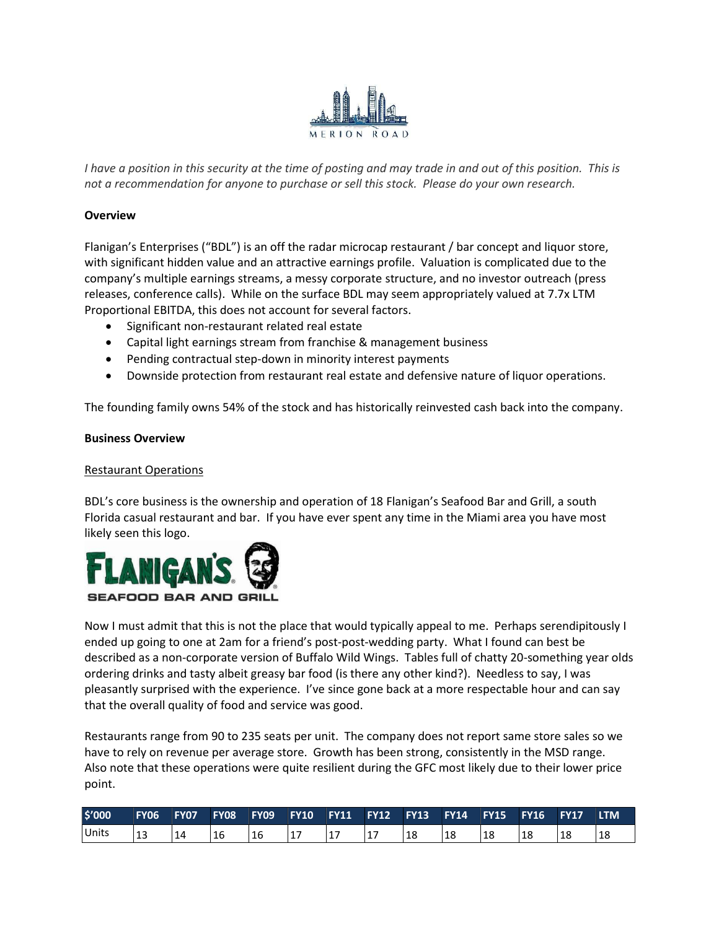

I have a position in this security at the time of posting and may trade in and out of this position. This is not a recommendation for anyone to purchase or sell this stock. Please do your own research.

## **Overview**

Flanigan's Enterprises ("BDL") is an off the radar microcap restaurant / bar concept and liquor store, with significant hidden value and an attractive earnings profile. Valuation is complicated due to the company's multiple earnings streams, a messy corporate structure, and no investor outreach (press releases, conference calls). While on the surface BDL may seem appropriately valued at 7.7x LTM Proportional EBITDA, this does not account for several factors.

- Significant non-restaurant related real estate
- Capital light earnings stream from franchise & management business
- Pending contractual step-down in minority interest payments
- Downside protection from restaurant real estate and defensive nature of liquor operations.

The founding family owns 54% of the stock and has historically reinvested cash back into the company.

## Business Overview

## Restaurant Operations

BDL's core business is the ownership and operation of 18 Flanigan's Seafood Bar and Grill, a south Florida casual restaurant and bar. If you have ever spent any time in the Miami area you have most likely seen this logo.



Now I must admit that this is not the place that would typically appeal to me. Perhaps serendipitously I ended up going to one at 2am for a friend's post-post-wedding party. What I found can best be described as a non-corporate version of Buffalo Wild Wings. Tables full of chatty 20-something year olds ordering drinks and tasty albeit greasy bar food (is there any other kind?). Needless to say, I was pleasantly surprised with the experience. I've since gone back at a more respectable hour and can say that the overall quality of food and service was good.

Restaurants range from 90 to 235 seats per unit. The company does not report same store sales so we have to rely on revenue per average store. Growth has been strong, consistently in the MSD range. Also note that these operations were quite resilient during the GFC most likely due to their lower price point.

| \$'000 | <b>FY06</b> | <b>FY07</b> | <b>FY08</b> | <b>FY09</b> | <b>FY10 FY11</b> |          | <b>FY12</b> | FY13 | <b>FY14</b> | <b>FY15 FY16</b> |    | <b>FY17</b> | <b>LTM</b> |
|--------|-------------|-------------|-------------|-------------|------------------|----------|-------------|------|-------------|------------------|----|-------------|------------|
| Units  | - 12        |             | 16          | 16          | ┻.               | <b>L</b> | л.,         | 18   | 18          |                  | 18 |             |            |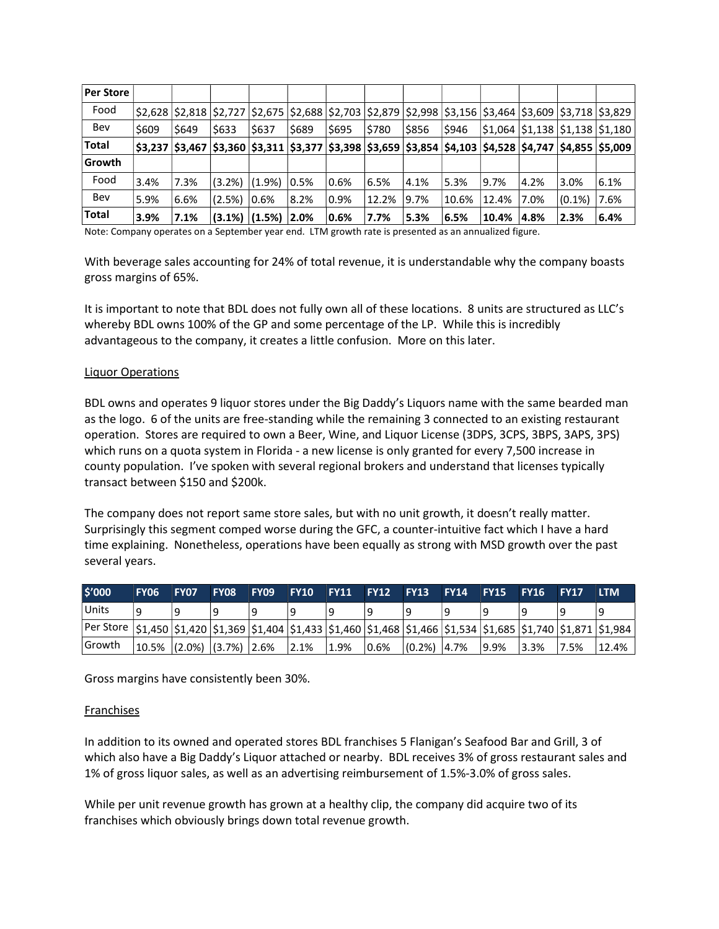| Per Store    |         |       |        |                                                                                                            |       |         |       |      |       |                                    |      |           |                                                                                                                                   |
|--------------|---------|-------|--------|------------------------------------------------------------------------------------------------------------|-------|---------|-------|------|-------|------------------------------------|------|-----------|-----------------------------------------------------------------------------------------------------------------------------------|
| Food         |         |       |        |                                                                                                            |       |         |       |      |       |                                    |      |           | $ 2,628 $ $ 2,818 $ $ 2,727 $ $ 2,675 $ $ 2,688 $ $ 2,703 $ $ 2,879 $ $ 2,998 $ $ 3,156 $ $ 3,464 $ $ 3,609 $ $ 3,718 $ $ 3,829 $ |
| Bev          | \$609   | \$649 | \$633  | \$637                                                                                                      | \$689 | \$695   | \$780 | 5856 | \$946 | \$1,064  \$1,138  \$1,138  \$1,180 |      |           |                                                                                                                                   |
| <b>Total</b> | \$3,237 |       |        | \$3,467  \$3,360  \$3,311  \$3,377  \$3,398  \$3,659  \$3,854  \$4,103  \$4,528  \$4,747  \$4,855  \$5,009 |       |         |       |      |       |                                    |      |           |                                                                                                                                   |
| Growth       |         |       |        |                                                                                                            |       |         |       |      |       |                                    |      |           |                                                                                                                                   |
| Food         | 3.4%    | 7.3%  | (3.2%) | $(1.9\%)$                                                                                                  | 10.5% | $0.6\%$ | 6.5%  | 4.1% | 5.3%  | 9.7%                               | 4.2% | 3.0%      | 6.1%                                                                                                                              |
| Bev          | 5.9%    | 6.6%  | (2.5%) | $0.6\%$                                                                                                    | 8.2%  | $0.9\%$ | 12.2% | 9.7% | 10.6% | 12.4%                              | 7.0% | $(0.1\%)$ | 7.6%                                                                                                                              |
| <b>Total</b> | 3.9%    | 7.1%  |        | $(3.1\%)$ $(1.5\%)$ 2.0%                                                                                   |       | 0.6%    | 7.7%  | 5.3% | 6.5%  | 10.4%                              | 4.8% | 2.3%      | 6.4%                                                                                                                              |

Note: Company operates on a September year end. LTM growth rate is presented as an annualized figure.

With beverage sales accounting for 24% of total revenue, it is understandable why the company boasts gross margins of 65%.

It is important to note that BDL does not fully own all of these locations. 8 units are structured as LLC's whereby BDL owns 100% of the GP and some percentage of the LP. While this is incredibly advantageous to the company, it creates a little confusion. More on this later.

#### Liquor Operations

BDL owns and operates 9 liquor stores under the Big Daddy's Liquors name with the same bearded man as the logo. 6 of the units are free-standing while the remaining 3 connected to an existing restaurant operation. Stores are required to own a Beer, Wine, and Liquor License (3DPS, 3CPS, 3BPS, 3APS, 3PS) which runs on a quota system in Florida - a new license is only granted for every 7,500 increase in county population. I've spoken with several regional brokers and understand that licenses typically transact between \$150 and \$200k.

The company does not report same store sales, but with no unit growth, it doesn't really matter. Surprisingly this segment comped worse during the GFC, a counter-intuitive fact which I have a hard time explaining. Nonetheless, operations have been equally as strong with MSD growth over the past several years.

| \$'000                                                                                                                         | <b>FY06</b> | FY07 | FY08 | FY09                                                                               | <b>FY10 FY11</b> | <b>FY12 FY13</b> |                | <b>FY14</b> | <b>FY15 FY16</b> |          | <b>FY17</b> | <b>LTM</b> |
|--------------------------------------------------------------------------------------------------------------------------------|-------------|------|------|------------------------------------------------------------------------------------|------------------|------------------|----------------|-------------|------------------|----------|-------------|------------|
| Units                                                                                                                          | ۱۹          | 9    |      |                                                                                    |                  |                  |                |             |                  |          |             |            |
| Per Store  \$1,450  \$1,420  \$1,369  \$1,404  \$1,433  \$1,460  \$1,468  \$1,466  \$1,534  \$1,685  \$1,740  \$1,871  \$1,984 |             |      |      |                                                                                    |                  |                  |                |             |                  |          |             |            |
| l Growth                                                                                                                       |             |      |      | $\vert$ 10.5% $\vert$ (2.0%) $\vert$ (3.7%) $\vert$ 2.6% $\vert$ 2.1% $\vert$ 1.9% |                  | $0.6\%$          | $(0.2\%)$ 4.7% |             | <u>9.9%</u>      | $ 3.3\%$ | 17.5%       | 12.4%      |

Gross margins have consistently been 30%.

## Franchises

In addition to its owned and operated stores BDL franchises 5 Flanigan's Seafood Bar and Grill, 3 of which also have a Big Daddy's Liquor attached or nearby. BDL receives 3% of gross restaurant sales and 1% of gross liquor sales, as well as an advertising reimbursement of 1.5%-3.0% of gross sales.

While per unit revenue growth has grown at a healthy clip, the company did acquire two of its franchises which obviously brings down total revenue growth.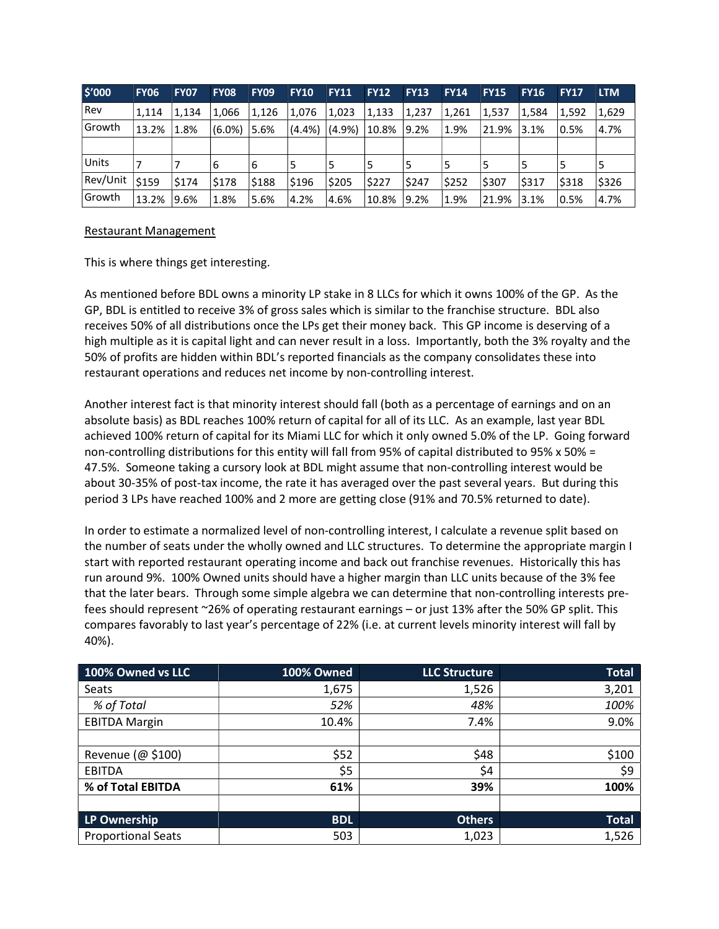| \$'000   | <b>FY06</b> | <b>FY07</b> | <b>FY08</b> | <b>FY09</b> | <b>FY10</b> | <b>FY11</b> | <b>FY12</b> | <b>FY13</b> | <b>FY14</b> | <b>FY15</b> | <b>FY16</b> | <b>FY17</b> | <b>LTM</b> |
|----------|-------------|-------------|-------------|-------------|-------------|-------------|-------------|-------------|-------------|-------------|-------------|-------------|------------|
| l Rev    | 1.114       | 1.134       | 1,066       | 1,126       | 1.076       | 1,023       | 1,133       | 1,237       | 1,261       | 1,537       | 1,584       | 1,592       | 1,629      |
| l Growth | 13.2%       | 1.8%        | $(6.0\%)$   | 5.6%        | $(4.4\%)$   | $(4.9\%)$   | 10.8%       | 9.2%        | 1.9%        | 21.9%       | 3.1%        | 0.5%        | 4.7%       |
|          |             |             |             |             |             |             |             |             |             |             |             |             |            |
| Units    | 7           |             | 6           | 16          | 5           | 5           |             | 5           |             | 5           | 5           |             | 5          |
| Rev/Unit | \$159       | \$174       | \$178       | 5188        | \$196       | \$205       | \$227       | \$247       | \$252       | \$307       | \$317       | \$318       | \$326      |
| Growth   | 13.2%       | 9.6%        | 1.8%        | 5.6%        | 4.2%        | 4.6%        | 10.8%       | 19.2%       | 1.9%        | 21.9%       | 13.1%       | 0.5%        | 4.7%       |

## Restaurant Management

This is where things get interesting.

As mentioned before BDL owns a minority LP stake in 8 LLCs for which it owns 100% of the GP. As the GP, BDL is entitled to receive 3% of gross sales which is similar to the franchise structure. BDL also receives 50% of all distributions once the LPs get their money back. This GP income is deserving of a high multiple as it is capital light and can never result in a loss. Importantly, both the 3% royalty and the 50% of profits are hidden within BDL's reported financials as the company consolidates these into restaurant operations and reduces net income by non-controlling interest.

Another interest fact is that minority interest should fall (both as a percentage of earnings and on an absolute basis) as BDL reaches 100% return of capital for all of its LLC. As an example, last year BDL achieved 100% return of capital for its Miami LLC for which it only owned 5.0% of the LP. Going forward non-controlling distributions for this entity will fall from 95% of capital distributed to 95% x 50% = 47.5%. Someone taking a cursory look at BDL might assume that non-controlling interest would be about 30-35% of post-tax income, the rate it has averaged over the past several years. But during this period 3 LPs have reached 100% and 2 more are getting close (91% and 70.5% returned to date).

In order to estimate a normalized level of non-controlling interest, I calculate a revenue split based on the number of seats under the wholly owned and LLC structures. To determine the appropriate margin I start with reported restaurant operating income and back out franchise revenues. Historically this has run around 9%. 100% Owned units should have a higher margin than LLC units because of the 3% fee that the later bears. Through some simple algebra we can determine that non-controlling interests prefees should represent ~26% of operating restaurant earnings – or just 13% after the 50% GP split. This compares favorably to last year's percentage of 22% (i.e. at current levels minority interest will fall by 40%).

| 100% Owned vs LLC         | 100% Owned | <b>LLC Structure</b> | <b>Total</b> |
|---------------------------|------------|----------------------|--------------|
| Seats                     | 1,675      | 1,526                | 3,201        |
| % of Total                | 52%        | 48%                  | 100%         |
| <b>EBITDA Margin</b>      | 10.4%      | 7.4%                 | 9.0%         |
|                           |            |                      |              |
| Revenue (@ \$100)         | \$52       | \$48                 | \$100        |
| <b>EBITDA</b>             | \$5        | \$4                  | \$9          |
| % of Total EBITDA         | 61%        | 39%                  | 100%         |
|                           |            |                      |              |
| LP Ownership              | <b>BDL</b> | <b>Others</b>        | <b>Total</b> |
| <b>Proportional Seats</b> | 503        | 1,023                | 1,526        |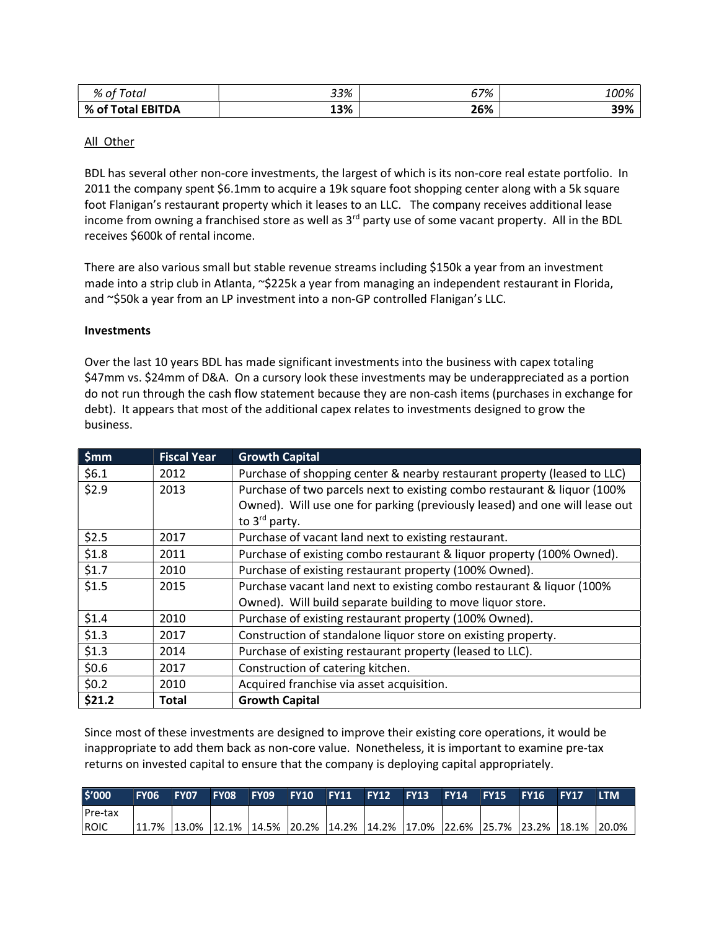| % of<br>Total     | 33% | 67% | 100% |
|-------------------|-----|-----|------|
| % of Total EBITDA | 13% | 26% | 39%  |

## All Other

BDL has several other non-core investments, the largest of which is its non-core real estate portfolio. In 2011 the company spent \$6.1mm to acquire a 19k square foot shopping center along with a 5k square foot Flanigan's restaurant property which it leases to an LLC. The company receives additional lease income from owning a franchised store as well as  $3<sup>rd</sup>$  party use of some vacant property. All in the BDL receives \$600k of rental income.

There are also various small but stable revenue streams including \$150k a year from an investment made into a strip club in Atlanta, ~\$225k a year from managing an independent restaurant in Florida, and ~\$50k a year from an LP investment into a non-GP controlled Flanigan's LLC.

#### **Investments**

Over the last 10 years BDL has made significant investments into the business with capex totaling \$47mm vs. \$24mm of D&A. On a cursory look these investments may be underappreciated as a portion do not run through the cash flow statement because they are non-cash items (purchases in exchange for debt). It appears that most of the additional capex relates to investments designed to grow the business.

| \$mm    | <b>Fiscal Year</b> | <b>Growth Capital</b>                                                       |
|---------|--------------------|-----------------------------------------------------------------------------|
| \$6.1   | 2012               | Purchase of shopping center & nearby restaurant property (leased to LLC)    |
| \$2.9   | 2013               | Purchase of two parcels next to existing combo restaurant & liquor (100%)   |
|         |                    | Owned). Will use one for parking (previously leased) and one will lease out |
|         |                    | to $3^{\text{rd}}$ party.                                                   |
| \$2.5   | 2017               | Purchase of vacant land next to existing restaurant.                        |
| \$1.8   | 2011               | Purchase of existing combo restaurant & liquor property (100% Owned).       |
| \$1.7   | 2010               | Purchase of existing restaurant property (100% Owned).                      |
| \$1.5   | 2015               | Purchase vacant land next to existing combo restaurant & liquor (100%)      |
|         |                    | Owned). Will build separate building to move liquor store.                  |
| \$1.4   | 2010               | Purchase of existing restaurant property (100% Owned).                      |
| \$1.3   | 2017               | Construction of standalone liquor store on existing property.               |
| \$1.3   | 2014               | Purchase of existing restaurant property (leased to LLC).                   |
| \$0.6\$ | 2017               | Construction of catering kitchen.                                           |
| \$0.2\$ | 2010               | Acquired franchise via asset acquisition.                                   |
| \$21.2  | <b>Total</b>       | <b>Growth Capital</b>                                                       |

Since most of these investments are designed to improve their existing core operations, it would be inappropriate to add them back as non-core value. Nonetheless, it is important to examine pre-tax returns on invested capital to ensure that the company is deploying capital appropriately.

| \$'000           | <b>FY06</b> | <b>FY07</b> | FY08 FY09 FY10 FY11 FY12 FY13 FY14 FY15 FY16 FY17                                                                                                                                                                                                                                                                                 |  |  |  |  | <b>LTM</b> |
|------------------|-------------|-------------|-----------------------------------------------------------------------------------------------------------------------------------------------------------------------------------------------------------------------------------------------------------------------------------------------------------------------------------|--|--|--|--|------------|
| <b>I</b> Pre-tax |             |             |                                                                                                                                                                                                                                                                                                                                   |  |  |  |  |            |
| <b>IROIC</b>     |             |             | $\vert 11.7\% \vert 13.0\% \vert 12.1\% \vert 14.5\% \vert 20.2\% \vert 14.2\% \vert 14.2\% \vert 17.0\% \vert 22.6\% \vert 25.7\% \vert 23.2\% \vert 18.1\% \vert 20.0\% \vert 20.0\% \vert 20.0\% \vert 20.0\% \vert 20.0\% \vert 20.0\% \vert 20.0\% \vert 20.0\% \vert 20.0\% \vert 20.0\% \vert 20.0\% \vert 20.0\% \vert 2$ |  |  |  |  |            |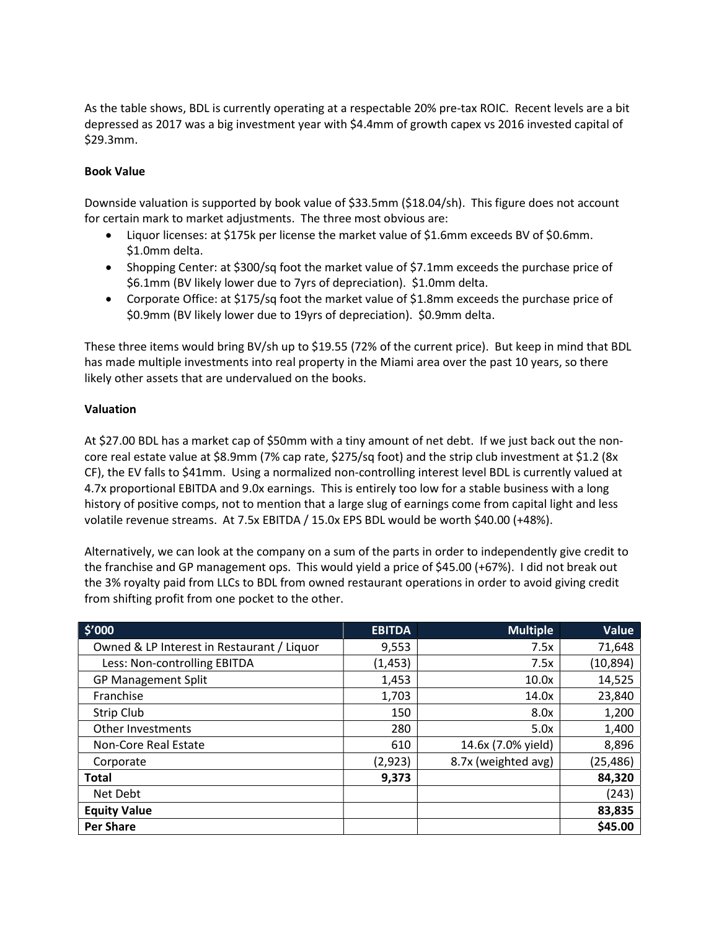As the table shows, BDL is currently operating at a respectable 20% pre-tax ROIC. Recent levels are a bit depressed as 2017 was a big investment year with \$4.4mm of growth capex vs 2016 invested capital of \$29.3mm.

## Book Value

Downside valuation is supported by book value of \$33.5mm (\$18.04/sh). This figure does not account for certain mark to market adjustments. The three most obvious are:

- Liquor licenses: at \$175k per license the market value of \$1.6mm exceeds BV of \$0.6mm. \$1.0mm delta.
- Shopping Center: at \$300/sq foot the market value of \$7.1mm exceeds the purchase price of \$6.1mm (BV likely lower due to 7yrs of depreciation). \$1.0mm delta.
- Corporate Office: at \$175/sq foot the market value of \$1.8mm exceeds the purchase price of \$0.9mm (BV likely lower due to 19yrs of depreciation). \$0.9mm delta.

These three items would bring BV/sh up to \$19.55 (72% of the current price). But keep in mind that BDL has made multiple investments into real property in the Miami area over the past 10 years, so there likely other assets that are undervalued on the books.

## Valuation

At \$27.00 BDL has a market cap of \$50mm with a tiny amount of net debt. If we just back out the noncore real estate value at \$8.9mm (7% cap rate, \$275/sq foot) and the strip club investment at \$1.2 (8x CF), the EV falls to \$41mm. Using a normalized non-controlling interest level BDL is currently valued at 4.7x proportional EBITDA and 9.0x earnings. This is entirely too low for a stable business with a long history of positive comps, not to mention that a large slug of earnings come from capital light and less volatile revenue streams. At 7.5x EBITDA / 15.0x EPS BDL would be worth \$40.00 (+48%).

Alternatively, we can look at the company on a sum of the parts in order to independently give credit to the franchise and GP management ops. This would yield a price of \$45.00 (+67%). I did not break out the 3% royalty paid from LLCs to BDL from owned restaurant operations in order to avoid giving credit from shifting profit from one pocket to the other.

| \$′000                                     | <b>EBITDA</b> | <b>Multiple</b>     | Value     |
|--------------------------------------------|---------------|---------------------|-----------|
| Owned & LP Interest in Restaurant / Liquor | 9,553         | 7.5x                | 71,648    |
| Less: Non-controlling EBITDA               | (1, 453)      | 7.5x                | (10, 894) |
| <b>GP Management Split</b>                 | 1,453         | 10.0x               | 14,525    |
| Franchise                                  | 1,703         | 14.0x               | 23,840    |
| Strip Club                                 | 150           | 8.0x                | 1,200     |
| Other Investments                          | 280           | 5.0x                | 1,400     |
| Non-Core Real Estate                       | 610           | 14.6x (7.0% yield)  | 8,896     |
| Corporate                                  | (2, 923)      | 8.7x (weighted avg) | (25, 486) |
| <b>Total</b>                               | 9,373         |                     | 84,320    |
| Net Debt                                   |               |                     | (243)     |
| <b>Equity Value</b>                        |               |                     | 83,835    |
| <b>Per Share</b>                           |               |                     | \$45.00   |